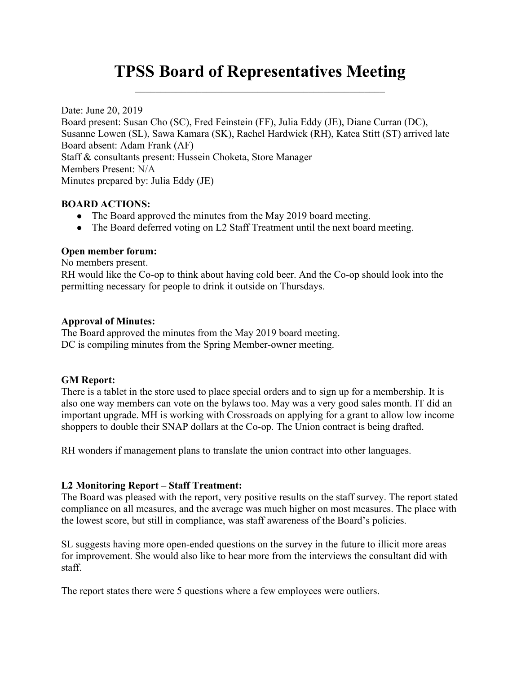# TPSS Board of Representatives Meeting

Date: June 20, 2019 Board present: Susan Cho (SC), Fred Feinstein (FF), Julia Eddy (JE), Diane Curran (DC), Susanne Lowen (SL), Sawa Kamara (SK), Rachel Hardwick (RH), Katea Stitt (ST) arrived late Board absent: Adam Frank (AF) Staff & consultants present: Hussein Choketa, Store Manager Members Present: N/A Minutes prepared by: Julia Eddy (JE)

### BOARD ACTIONS:

- The Board approved the minutes from the May 2019 board meeting.
- The Board deferred voting on L2 Staff Treatment until the next board meeting.

### Open member forum:

No members present.

RH would like the Co-op to think about having cold beer. And the Co-op should look into the permitting necessary for people to drink it outside on Thursdays.

## Approval of Minutes:

The Board approved the minutes from the May 2019 board meeting. DC is compiling minutes from the Spring Member-owner meeting.

# GM Report:

There is a tablet in the store used to place special orders and to sign up for a membership. It is also one way members can vote on the bylaws too. May was a very good sales month. IT did an important upgrade. MH is working with Crossroads on applying for a grant to allow low income shoppers to double their SNAP dollars at the Co-op. The Union contract is being drafted.

RH wonders if management plans to translate the union contract into other languages.

# L2 Monitoring Report – Staff Treatment:

The Board was pleased with the report, very positive results on the staff survey. The report stated compliance on all measures, and the average was much higher on most measures. The place with the lowest score, but still in compliance, was staff awareness of the Board's policies.

SL suggests having more open-ended questions on the survey in the future to illicit more areas for improvement. She would also like to hear more from the interviews the consultant did with staff.

The report states there were 5 questions where a few employees were outliers.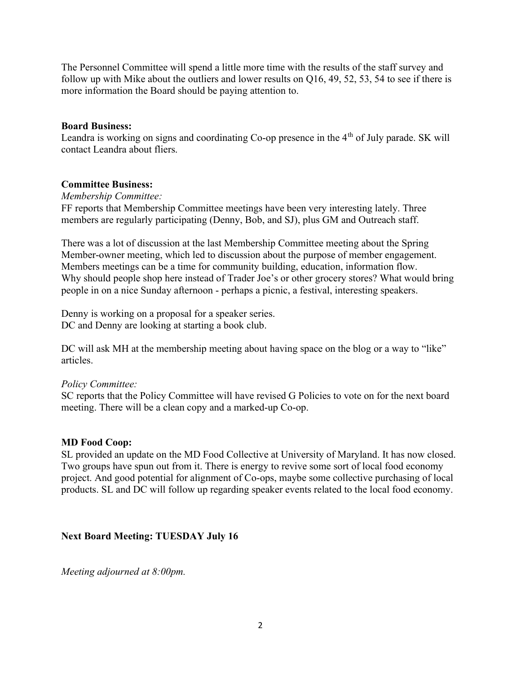The Personnel Committee will spend a little more time with the results of the staff survey and follow up with Mike about the outliers and lower results on Q16, 49, 52, 53, 54 to see if there is more information the Board should be paying attention to.

#### Board Business:

Leandra is working on signs and coordinating Co-op presence in the  $4<sup>th</sup>$  of July parade. SK will contact Leandra about fliers.

### Committee Business:

Membership Committee:

FF reports that Membership Committee meetings have been very interesting lately. Three members are regularly participating (Denny, Bob, and SJ), plus GM and Outreach staff.

There was a lot of discussion at the last Membership Committee meeting about the Spring Member-owner meeting, which led to discussion about the purpose of member engagement. Members meetings can be a time for community building, education, information flow. Why should people shop here instead of Trader Joe's or other grocery stores? What would bring people in on a nice Sunday afternoon - perhaps a picnic, a festival, interesting speakers.

Denny is working on a proposal for a speaker series. DC and Denny are looking at starting a book club.

DC will ask MH at the membership meeting about having space on the blog or a way to "like" articles.

#### Policy Committee:

SC reports that the Policy Committee will have revised G Policies to vote on for the next board meeting. There will be a clean copy and a marked-up Co-op.

#### MD Food Coop:

SL provided an update on the MD Food Collective at University of Maryland. It has now closed. Two groups have spun out from it. There is energy to revive some sort of local food economy project. And good potential for alignment of Co-ops, maybe some collective purchasing of local products. SL and DC will follow up regarding speaker events related to the local food economy.

### Next Board Meeting: TUESDAY July 16

Meeting adjourned at 8:00pm.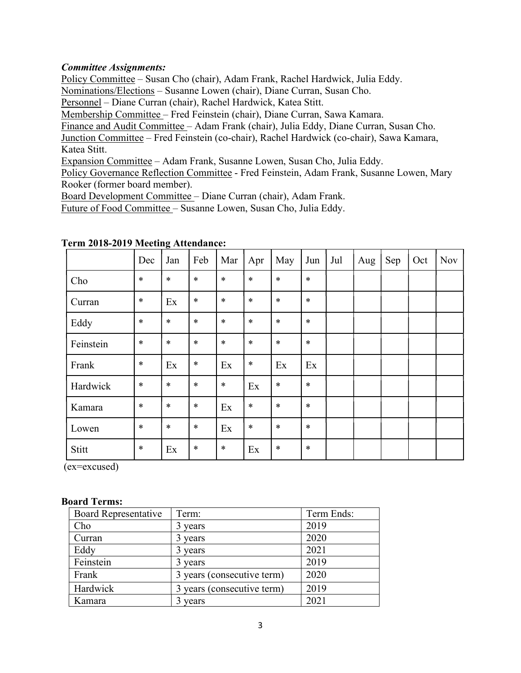### Committee Assignments:

Policy Committee – Susan Cho (chair), Adam Frank, Rachel Hardwick, Julia Eddy.

Nominations/Elections – Susanne Lowen (chair), Diane Curran, Susan Cho.

Personnel – Diane Curran (chair), Rachel Hardwick, Katea Stitt.

Membership Committee – Fred Feinstein (chair), Diane Curran, Sawa Kamara.

Finance and Audit Committee – Adam Frank (chair), Julia Eddy, Diane Curran, Susan Cho.

Junction Committee – Fred Feinstein (co-chair), Rachel Hardwick (co-chair), Sawa Kamara, Katea Stitt.

Expansion Committee – Adam Frank, Susanne Lowen, Susan Cho, Julia Eddy.

Policy Governance Reflection Committee - Fred Feinstein, Adam Frank, Susanne Lowen, Mary Rooker (former board member).

Board Development Committee – Diane Curran (chair), Adam Frank.

Future of Food Committee – Susanne Lowen, Susan Cho, Julia Eddy.

|           | Dec    | Jan    | Feb    | Mar    | Apr    | May    | Jun    | Jul | Aug | Sep | Oct | <b>Nov</b> |
|-----------|--------|--------|--------|--------|--------|--------|--------|-----|-----|-----|-----|------------|
| Cho       | $\ast$ | $\ast$ | $\ast$ | $\ast$ | $\ast$ | $\ast$ | $\ast$ |     |     |     |     |            |
| Curran    | $\ast$ | Ex     | $\ast$ | $\ast$ | $\ast$ | $\ast$ | $\ast$ |     |     |     |     |            |
| Eddy      | $\ast$ | $\ast$ | $\ast$ | $\ast$ | $\ast$ | $\ast$ | $\ast$ |     |     |     |     |            |
| Feinstein | $\ast$ | $\ast$ | $\ast$ | $\ast$ | $\ast$ | $\ast$ | $\ast$ |     |     |     |     |            |
| Frank     | $\ast$ | Ex     | $\ast$ | Ex     | $\ast$ | Ex     | Ex     |     |     |     |     |            |
| Hardwick  | $\ast$ | $\ast$ | $\ast$ | $\ast$ | Ex     | $\ast$ | $\ast$ |     |     |     |     |            |
| Kamara    | $\ast$ | $\ast$ | $\ast$ | Ex     | $\ast$ | $\ast$ | $\ast$ |     |     |     |     |            |
| Lowen     | $\ast$ | $\ast$ | $\ast$ | Ex     | $\ast$ | $\ast$ | $\ast$ |     |     |     |     |            |
| Stitt     | $\ast$ | Ex     | *      | $\ast$ | Ex     | $\ast$ | $\ast$ |     |     |     |     |            |

## Term 2018-2019 Meeting Attendance:

(ex=excused)

#### Board Terms:

| <b>Board Representative</b> | Term:                      | Term Ends: |  |  |
|-----------------------------|----------------------------|------------|--|--|
| Cho                         | 3 years                    | 2019       |  |  |
| Curran                      | 3 years                    | 2020       |  |  |
| Eddy                        | 3 years                    | 2021       |  |  |
| Feinstein                   | 3 years                    | 2019       |  |  |
| Frank                       | 3 years (consecutive term) | 2020       |  |  |
| Hardwick                    | 3 years (consecutive term) | 2019       |  |  |
| Kamara                      | 3 years                    | 2021       |  |  |